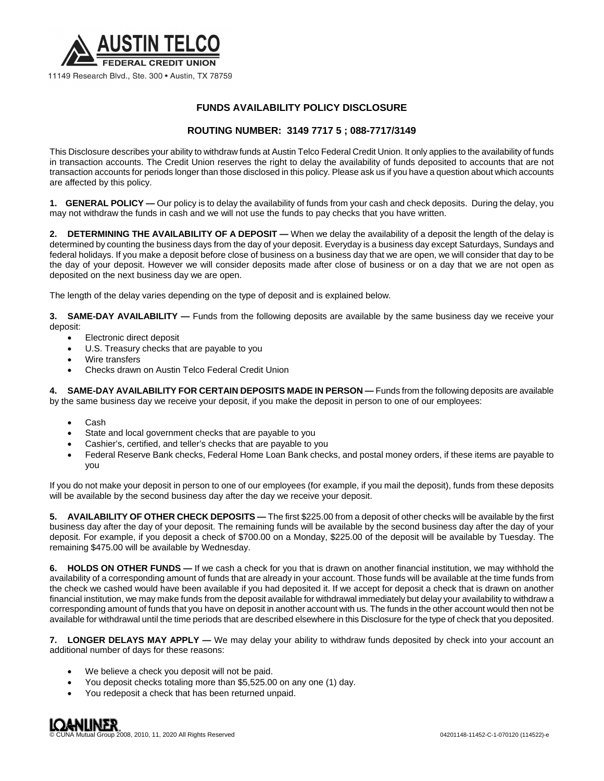

## **FUNDS AVAILABILITY POLICY DISCLOSURE**

## **ROUTING NUMBER: 3149 7717 5 ; 088-7717/3149**

This Disclosure describes your ability to withdraw funds at Austin Telco Federal Credit Union. It only applies to the availability of funds in transaction accounts. The Credit Union reserves the right to delay the availability of funds deposited to accounts that are not transaction accounts for periods longer than those disclosed in this policy. Please ask us if you have a question about which accounts are affected by this policy.

**1. GENERAL POLICY —** Our policy is to delay the availability of funds from your cash and check deposits. During the delay, you may not withdraw the funds in cash and we will not use the funds to pay checks that you have written.

**2. DETERMINING THE AVAILABILITY OF A DEPOSIT —** When we delay the availability of a deposit the length of the delay is determined by counting the business days from the day of your deposit. Everyday is a business day except Saturdays, Sundays and federal holidays. If you make a deposit before close of business on a business day that we are open, we will consider that day to be the day of your deposit. However we will consider deposits made after close of business or on a day that we are not open as deposited on the next business day we are open.

The length of the delay varies depending on the type of deposit and is explained below.

**3. SAME-DAY AVAILABILITY —** Funds from the following deposits are available by the same business day we receive your deposit:

- Electronic direct deposit
- U.S. Treasury checks that are payable to you
- Wire transfers
- Checks drawn on Austin Telco Federal Credit Union

**4. SAME-DAY AVAILABILITY FOR CERTAIN DEPOSITS MADE IN PERSON —** Funds from the following deposits are available by the same business day we receive your deposit, if you make the deposit in person to one of our employees:

- Cash
- State and local government checks that are payable to you
- Cashier's, certified, and teller's checks that are payable to you
- Federal Reserve Bank checks, Federal Home Loan Bank checks, and postal money orders, if these items are payable to you

If you do not make your deposit in person to one of our employees (for example, if you mail the deposit), funds from these deposits will be available by the second business day after the day we receive your deposit.

**5. AVAILABILITY OF OTHER CHECK DEPOSITS —** The first \$225.00 from a deposit of other checks will be available by the first business day after the day of your deposit. The remaining funds will be available by the second business day after the day of your deposit. For example, if you deposit a check of \$700.00 on a Monday, \$225.00 of the deposit will be available by Tuesday. The remaining \$475.00 will be available by Wednesday.

**6. HOLDS ON OTHER FUNDS —** If we cash a check for you that is drawn on another financial institution, we may withhold the availability of a corresponding amount of funds that are already in your account. Those funds will be available at the time funds from the check we cashed would have been available if you had deposited it. If we accept for deposit a check that is drawn on another financial institution, we may make funds from the deposit available for withdrawal immediately but delay your availability to withdraw a corresponding amount of funds that you have on deposit in another account with us. The funds in the other account would then not be available for withdrawal until the time periods that are described elsewhere in this Disclosure for the type of check that you deposited.

**7. LONGER DELAYS MAY APPLY —** We may delay your ability to withdraw funds deposited by check into your account an additional number of days for these reasons:

- We believe a check you deposit will not be paid.
- You deposit checks totaling more than \$5,525.00 on any one (1) day.
- You redeposit a check that has been returned unpaid.